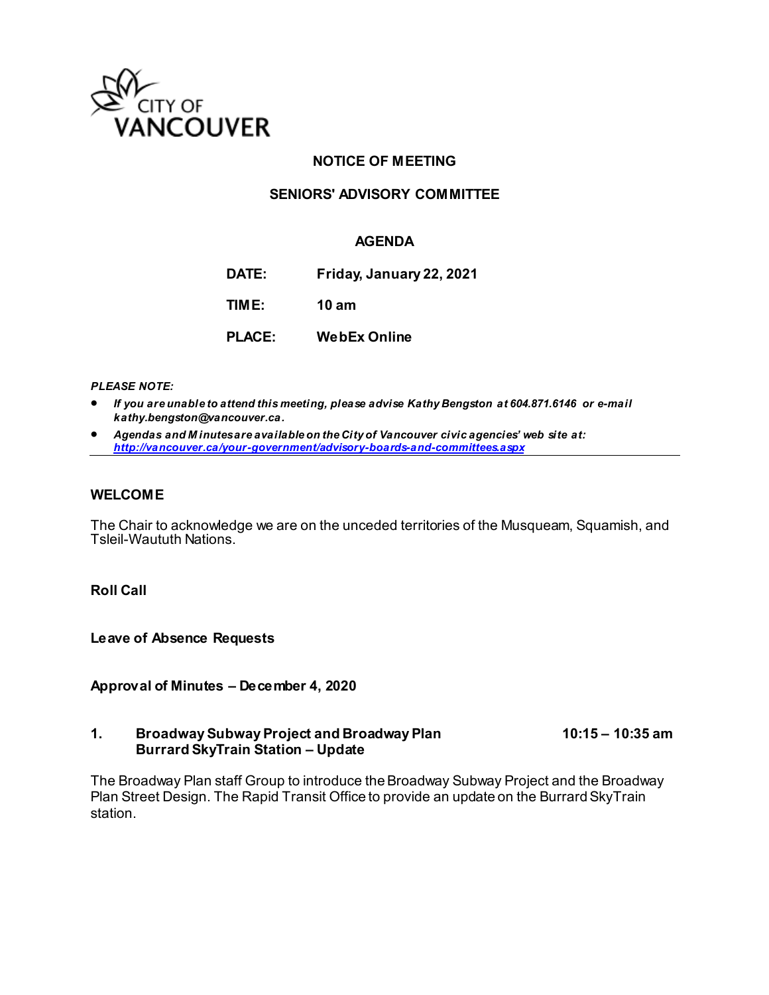

# **NOTICE OF MEETING**

## **SENIORS' ADVISORY COMMITTEE**

#### **AGENDA**

**DATE: Friday, January 22, 2021**

**TIME: 10 am**

**PLACE: WebEx Online**

*PLEASE NOTE:*

- *If you are unable to attend this meeting, please advise Kathy Bengston at 604.871.6146 or e-mail kathy.bengston@vancouver.ca.*
- *Agendas and M inutes are available on the City of Vancouver civic agencies' web site at: <http://vancouver.ca/your-government/advisory-boards-and-committees.aspx>*

#### **WELCOME**

The Chair to acknowledge we are on the unceded territories of the Musqueam, Squamish, and Tsleil-Waututh Nations.

## **Roll Call**

**Leave of Absence Requests** 

**Approval of Minutes – December 4, 2020**

#### **1. Broadway Subway Project and Broadway Plan 10:15 – 10:35 am Burrard SkyTrain Station – Update**

The Broadway Plan staff Group to introduce the Broadway Subway Project and the Broadway Plan Street Design. The Rapid Transit Office to provide an update on the Burrard SkyTrain station.